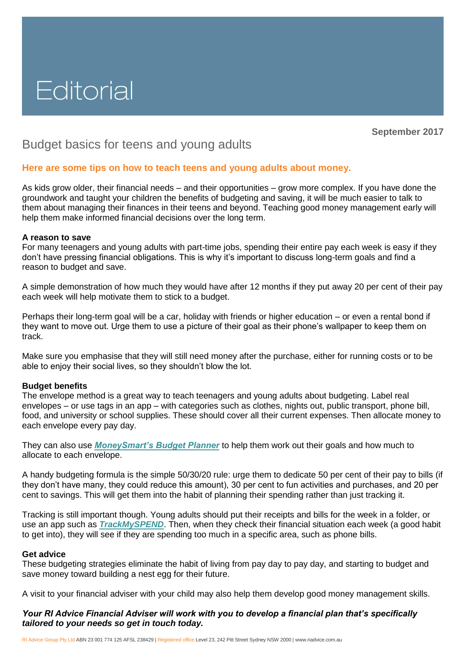# Editorial

**September 2017**

# Budget basics for teens and young adults

## **Here are some tips on how to teach teens and young adults about money.**

As kids grow older, their financial needs – and their opportunities – grow more complex. If you have done the groundwork and taught your children the benefits of budgeting and saving, it will be much easier to talk to them about managing their finances in their teens and beyond. Teaching good money management early will help them make informed financial decisions over the long term.

#### **A reason to save**

For many teenagers and young adults with part-time jobs, spending their entire pay each week is easy if they don't have pressing financial obligations. This is why it's important to discuss long-term goals and find a reason to budget and save.

A simple demonstration of how much they would have after 12 months if they put away 20 per cent of their pay each week will help motivate them to stick to a budget.

Perhaps their long-term goal will be a car, holiday with friends or higher education – or even a rental bond if they want to move out. Urge them to use a picture of their goal as their phone's wallpaper to keep them on track.

Make sure you emphasise that they will still need money after the purchase, either for running costs or to be able to enjoy their social lives, so they shouldn't blow the lot.

#### **Budget benefits**

The envelope method is a great way to teach teenagers and young adults about budgeting. Label real envelopes – or use tags in an app – with categories such as clothes, nights out, public transport, phone bill, food, and university or school supplies. These should cover all their current expenses. Then allocate money to each envelope every pay day.

They can also use *[MoneySmart's Budget Planner](https://www.moneysmart.gov.au/tools-and-resources/calculators-and-apps/budget-planner)* to help them work out their goals and how much to allocate to each envelope.

A handy budgeting formula is the simple 50/30/20 rule: urge them to dedicate 50 per cent of their pay to bills (if they don't have many, they could reduce this amount), 30 per cent to fun activities and purchases, and 20 per cent to savings. This will get them into the habit of planning their spending rather than just tracking it.

Tracking is still important though. Young adults should put their receipts and bills for the week in a folder, or use an app such as *[TrackMySPEND](https://www.moneysmart.gov.au/tools-and-resources/calculators-and-apps/mobile-apps/trackmyspend)*. Then, when they check their financial situation each week (a good habit to get into), they will see if they are spending too much in a specific area, such as phone bills.

#### **Get advice**

These budgeting strategies eliminate the habit of living from pay day to pay day, and starting to budget and save money toward building a nest egg for their future.

A visit to your financial adviser with your child may also help them develop good money management skills.

## *Your RI Advice Financial Adviser will work with you to develop a financial plan that's specifically tailored to your needs so get in touch today.*